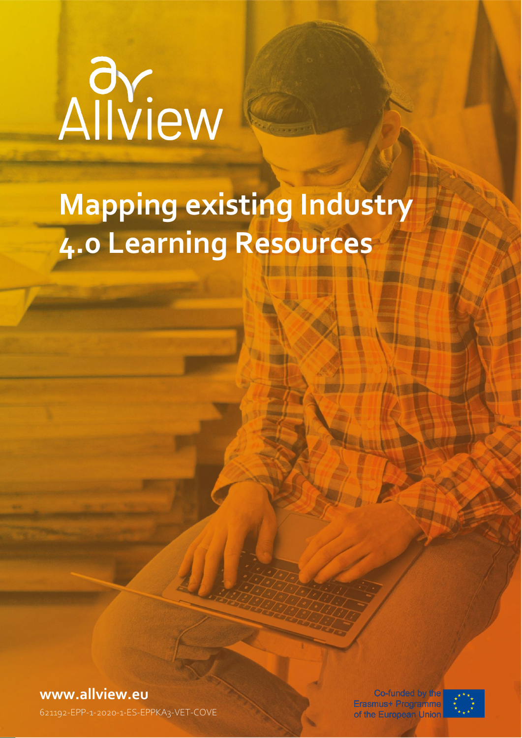# Allview

# **Mapping existing Industry 4.0 Learning Resources**

**[www.allview.eu](http://www.allview.eu/)**

of the European Union and Mapping Industry 4.0 Learning Resources 1.0 Learning Resources 1.0 Learning Resource<br>The European Union and Mapping Resources 1.0 Learning Resources 1.0 Learning Resources 1.0 Learning Resources

Co-funded by the Erasmus+ Programme

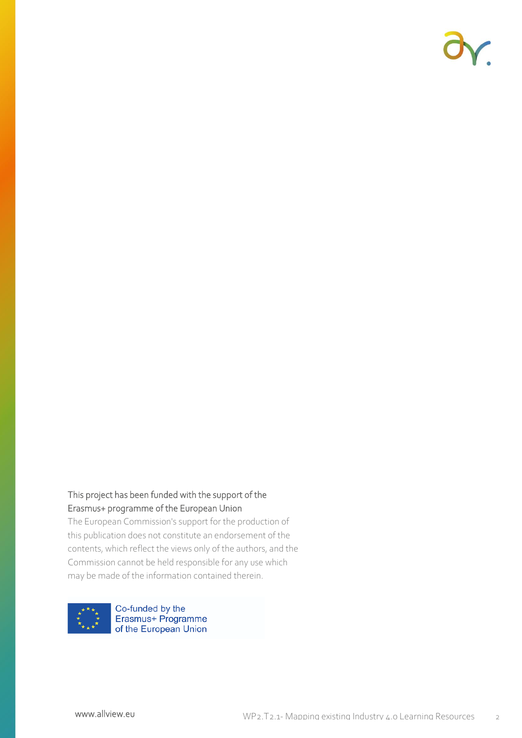

### This project has been funded with the support of the Erasmus+ programme of the European Union

The European Commission's support for the production of this publication does not constitute an endorsement of the contents, which reflect the views only of the authors, and the Commission cannot be held responsible for any use which may be made of the information contained therein.

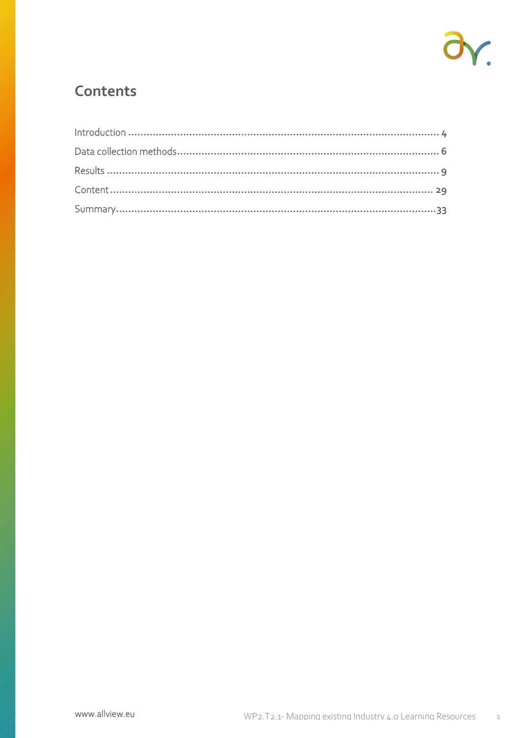

### Contents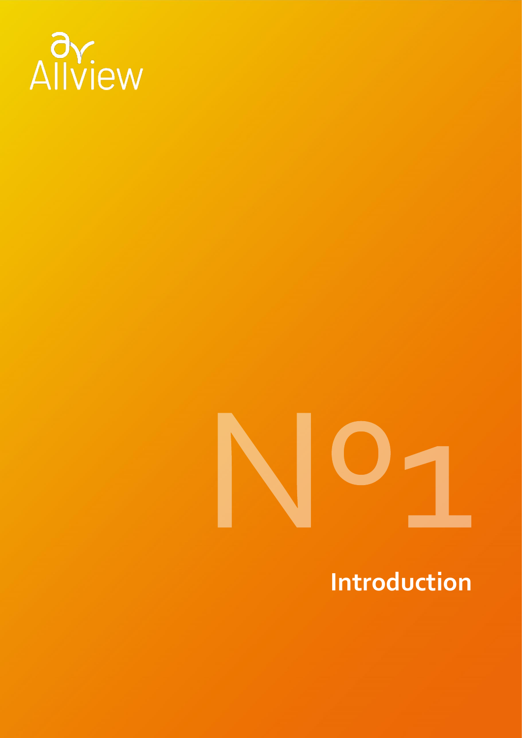



## **Introduction**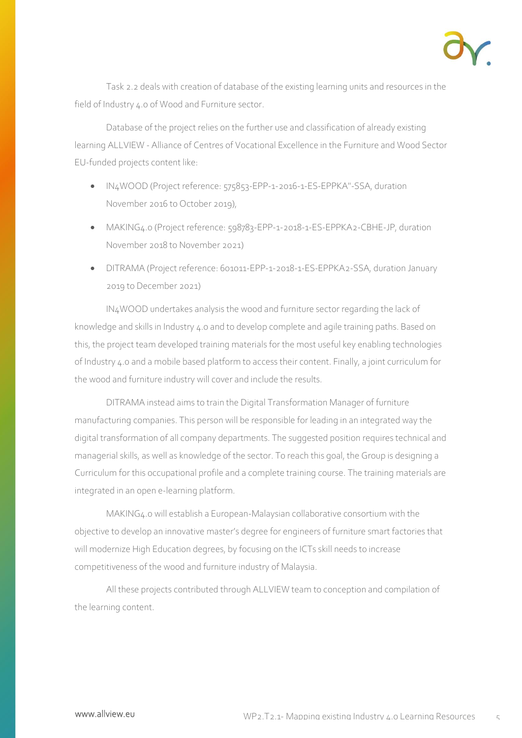

Task 2.2 deals with creation of database of the existing learning units and resources in the field of Industry 4.0 of Wood and Furniture sector.

Database of the project relies on the further use and classification of already existing learning ALLVIEW - Alliance of Centres of Vocational Excellence in the Furniture and Wood Sector EU-funded projects content like:

- IN4WOOD (Project reference: 575853-EPP-1-2016-1-ES-EPPKA"-SSA, duration November 2016 to October 2019),
- MAKING4.0 (Project reference: 598783-EPP-1-2018-1-ES-EPPKA2-CBHE-JP, duration November 2018 to November 2021)
- DITRAMA (Project reference: 601011-EPP-1-2018-1-ES-EPPKA2-SSA, duration January 2019 to December 2021)

IN4WOOD undertakes analysis the wood and furniture sector regarding the lack of knowledge and skills in Industry 4.0 and to develop complete and agile training paths. Based on this, the project team developed training materials for the most useful key enabling technologies of Industry 4.0 and a mobile based platform to access their content. Finally, a joint curriculum for the wood and furniture industry will cover and include the results.

DITRAMA instead aims to train the Digital Transformation Manager of furniture manufacturing companies. This person will be responsible for leading in an integrated way the digital transformation of all company departments. The suggested position requires technical and managerial skills, as well as knowledge of the sector. To reach this goal, the Group is designing a Curriculum for this occupational profile and a complete training course. The training materials are integrated in an open e-learning platform.

MAKING4.0 will establish a European-Malaysian collaborative consortium with the objective to develop an innovative master's degree for engineers of furniture smart factories that will modernize High Education degrees, by focusing on the ICTs skill needs to increase competitiveness of the wood and furniture industry of Malaysia.

All these projects contributed through ALLVIEW team to conception and compilation of the learning content.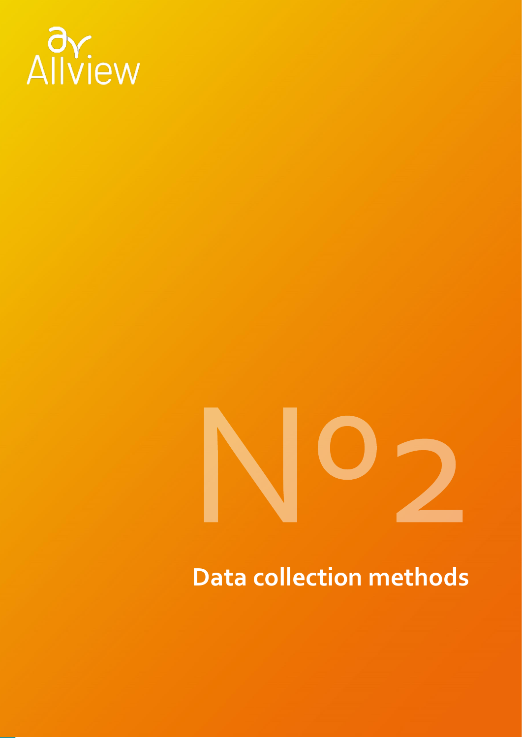

### **Data collection methods**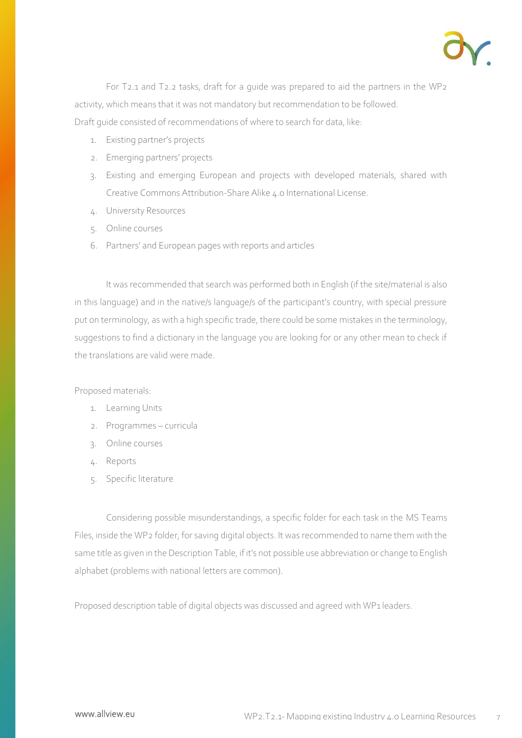

For T2.1 and T2.2 tasks, draft for a guide was prepared to aid the partners in the WP2 activity, which means that it was not mandatory but recommendation to be followed. Draft guide consisted of recommendations of where to search for data, like:

- 1. Existing partner's projects
- 2. Emerging partners' projects
- 3. Existing and emerging European and projects with developed materials, shared with Creative Commons Attribution-Share Alike 4.0 International License.
- 4. University Resources
- 5. Online courses
- 6. Partners' and European pages with reports and articles

It was recommended that search was performed both in English (if the site/material is also in this language) and in the native/s language/s of the participant's country, with special pressure put on terminology, as with a high specific trade, there could be some mistakes in the terminology, suggestions to find a dictionary in the language you are looking for or any other mean to check if the translations are valid were made.

Proposed materials:

- 1. Learning Units
- 2. Programmes curricula
- 3. Online courses
- 4. Reports
- 5. Specific literature

Considering possible misunderstandings, a specific folder for each task in the MS Teams Files, inside the WP2 folder, for saving digital objects. It was recommended to name them with the same title as given in the Description Table, if it's not possible use abbreviation or change to English alphabet (problems with national letters are common).

Proposed description table of digital objects was discussed and agreed with WP1 leaders.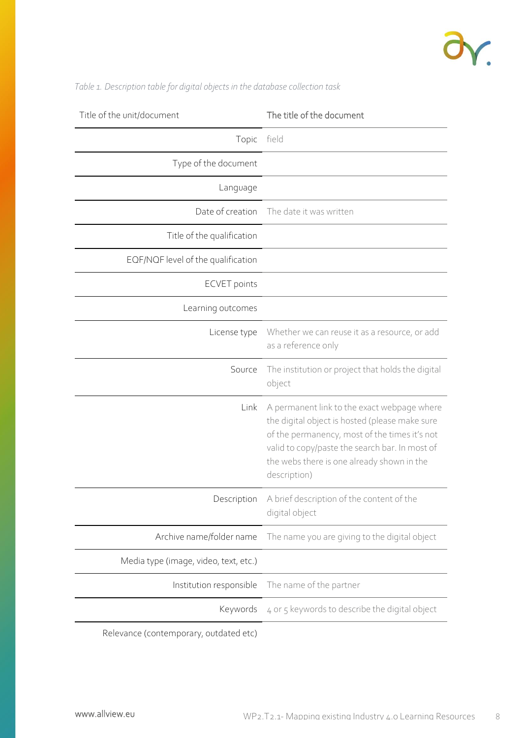

| Title of the unit/document             | The title of the document                                                                                                                                                                                                                                      |
|----------------------------------------|----------------------------------------------------------------------------------------------------------------------------------------------------------------------------------------------------------------------------------------------------------------|
| Topic                                  | field                                                                                                                                                                                                                                                          |
| Type of the document                   |                                                                                                                                                                                                                                                                |
| Language                               |                                                                                                                                                                                                                                                                |
| Date of creation                       | The date it was written                                                                                                                                                                                                                                        |
| Title of the qualification             |                                                                                                                                                                                                                                                                |
| EQF/NQF level of the qualification     |                                                                                                                                                                                                                                                                |
| <b>ECVET</b> points                    |                                                                                                                                                                                                                                                                |
| Learning outcomes                      |                                                                                                                                                                                                                                                                |
| License type                           | Whether we can reuse it as a resource, or add<br>as a reference only                                                                                                                                                                                           |
| Source                                 | The institution or project that holds the digital<br>object                                                                                                                                                                                                    |
| Link                                   | A permanent link to the exact webpage where<br>the digital object is hosted (please make sure<br>of the permanency, most of the times it's not<br>valid to copy/paste the search bar. In most of<br>the webs there is one already shown in the<br>description) |
|                                        | Description A brief description of the content of the<br>digital object                                                                                                                                                                                        |
| Archive name/folder name               | The name you are giving to the digital object                                                                                                                                                                                                                  |
| Media type (image, video, text, etc.)  |                                                                                                                                                                                                                                                                |
| Institution responsible                | The name of the partner                                                                                                                                                                                                                                        |
| Keywords                               | 4 or 5 keywords to describe the digital object                                                                                                                                                                                                                 |
| Relevance (contemporary, outdated etc) |                                                                                                                                                                                                                                                                |

*Table 1. Description table for digital objects in the database collection task*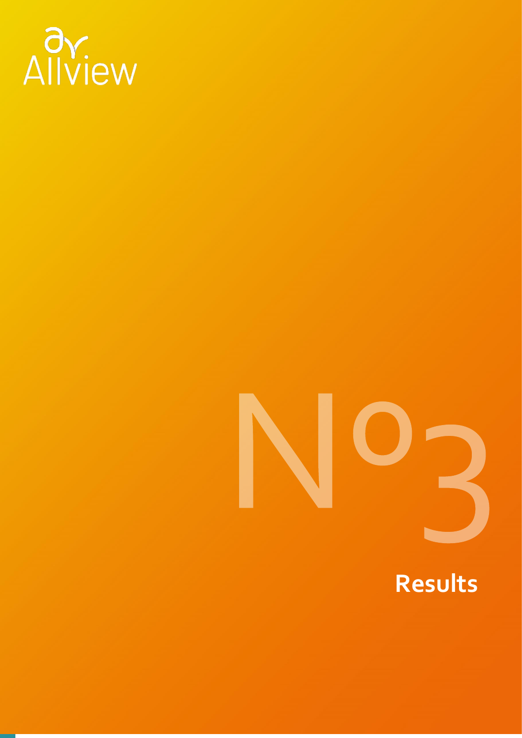

### **Results**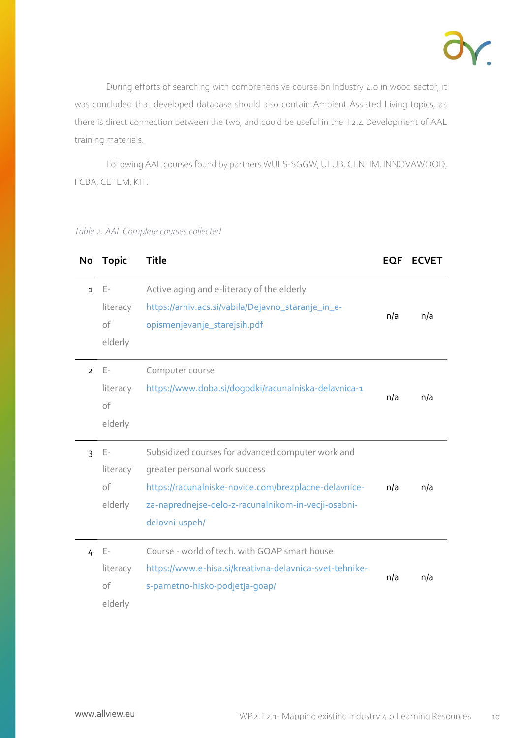

During efforts of searching with comprehensive course on Industry 4.0 in wood sector, it was concluded that developed database should also contain Ambient Assisted Living topics, as there is direct connection between the two, and could be useful in the T2.4 Development of AAL training materials.

Following AAL courses found by partners WULS-SGGW, ULUB, CENFIM, INNOVAWOOD, FCBA, CETEM, KIT.

|  | Table 2. AAL Complete courses collected |
|--|-----------------------------------------|
|--|-----------------------------------------|

| No             | <b>Topic</b>                       | <b>Title</b>                                                                                                                                                                                                         | <b>EQF</b> | <b>ECVET</b> |
|----------------|------------------------------------|----------------------------------------------------------------------------------------------------------------------------------------------------------------------------------------------------------------------|------------|--------------|
| $\mathbf{1}$   | Е-<br>literacy<br>of<br>elderly    | Active aging and e-literacy of the elderly<br>https://arhiv.acs.si/vabila/Dejavno_staranje_in_e-<br>opismenjevanje_starejsih.pdf                                                                                     | n/a        | n/a          |
| $\overline{2}$ | E-<br>literacy<br>of<br>elderly    | Computer course<br>https://www.doba.si/dogodki/racunalniska-delavnica-1                                                                                                                                              | n/a        | n/a          |
| 3              | Ε-<br>literacy<br>of<br>elderly    | Subsidized courses for advanced computer work and<br>greater personal work success<br>https://racunalniske-novice.com/brezplacne-delavnice-<br>za-naprednejse-delo-z-racunalnikom-in-vecji-osebni-<br>delovni-uspeh/ | n/a        | n/a          |
| 4              | $E -$<br>literacy<br>of<br>elderly | Course - world of tech. with GOAP smart house<br>https://www.e-hisa.si/kreativna-delavnica-svet-tehnike-<br>s-pametno-hisko-podjetja-qoap/                                                                           | n/a        | n/a          |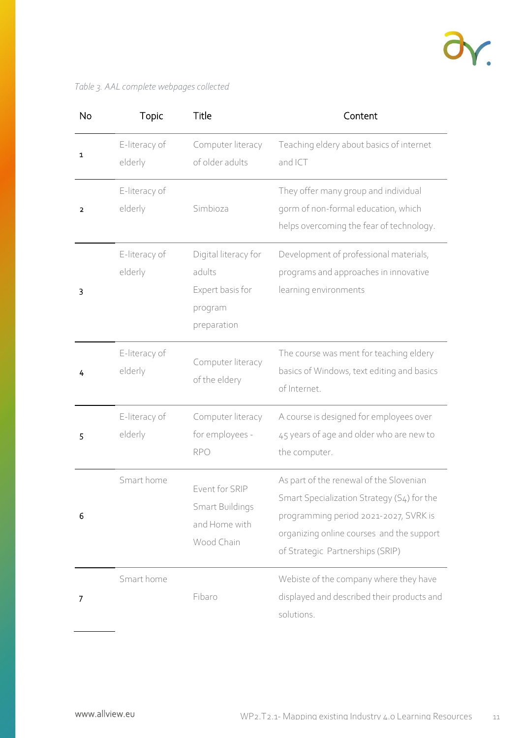

### *Table 3. AAL complete webpages collected*

| <b>No</b> | Topic                    | Title                                                                        | Content                                                                                                                                                                                                         |
|-----------|--------------------------|------------------------------------------------------------------------------|-----------------------------------------------------------------------------------------------------------------------------------------------------------------------------------------------------------------|
| 1         | E-literacy of<br>elderly | Computer literacy<br>of older adults                                         | Teaching eldery about basics of internet<br>and ICT                                                                                                                                                             |
| 2         | E-literacy of<br>elderly | Simbioza                                                                     | They offer many group and individual<br>gorm of non-formal education, which<br>helps overcoming the fear of technology.                                                                                         |
| 3         | E-literacy of<br>elderly | Digital literacy for<br>adults<br>Expert basis for<br>program<br>preparation | Development of professional materials,<br>programs and approaches in innovative<br>learning environments                                                                                                        |
| 4         | E-literacy of<br>elderly | Computer literacy<br>of the eldery                                           | The course was ment for teaching eldery<br>basics of Windows, text editing and basics<br>of Internet.                                                                                                           |
| 5         | E-literacy of<br>elderly | Computer literacy<br>for employees -<br><b>RPO</b>                           | A course is designed for employees over<br>45 years of age and older who are new to<br>the computer.                                                                                                            |
| 6         | Smart home               | Event for SRIP<br>Smart Buildings<br>and Home with<br>Wood Chain             | As part of the renewal of the Slovenian<br>Smart Specialization Strategy (S4) for the<br>programming period 2021-2027, SVRK is<br>organizing online courses and the support<br>of Strategic Partnerships (SRIP) |
| 7         | Smart home               | Fibaro                                                                       | Webiste of the company where they have<br>displayed and described their products and<br>solutions.                                                                                                              |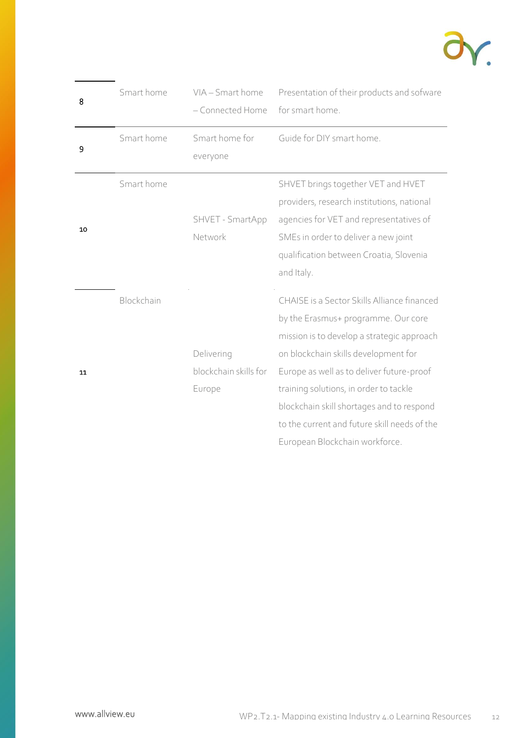

| 8  | Smart home | VIA - Smart home<br>- Connected Home          | Presentation of their products and sofware<br>for smart home.                                                                                                                                                                                                                                                                                                                                  |
|----|------------|-----------------------------------------------|------------------------------------------------------------------------------------------------------------------------------------------------------------------------------------------------------------------------------------------------------------------------------------------------------------------------------------------------------------------------------------------------|
| 9  | Smart home | Smart home for<br>everyone                    | Guide for DIY smart home.                                                                                                                                                                                                                                                                                                                                                                      |
| 10 | Smart home | SHVET - SmartApp<br>Network                   | SHVET brings together VET and HVET<br>providers, research institutions, national<br>agencies for VET and representatives of<br>SMEs in order to deliver a new joint<br>qualification between Croatia, Slovenia<br>and Italy.                                                                                                                                                                   |
| 11 | Blockchain | Delivering<br>blockchain skills for<br>Europe | CHAISE is a Sector Skills Alliance financed<br>by the Erasmus+ programme. Our core<br>mission is to develop a strategic approach<br>on blockchain skills development for<br>Europe as well as to deliver future-proof<br>training solutions, in order to tackle<br>blockchain skill shortages and to respond<br>to the current and future skill needs of the<br>European Blockchain workforce. |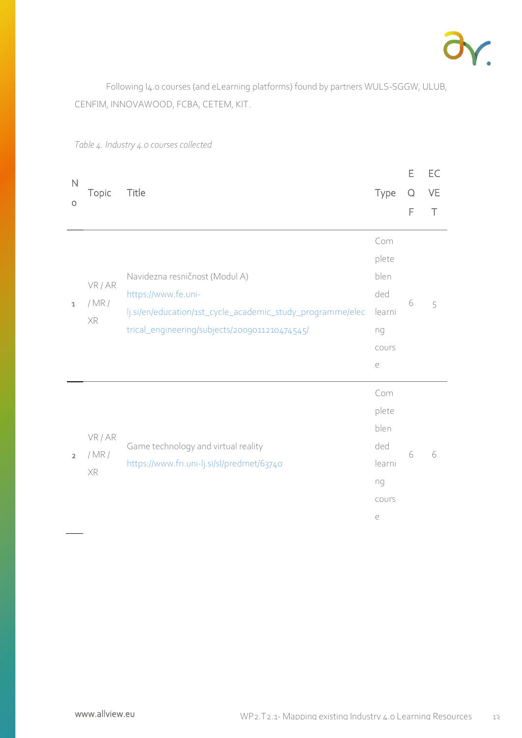

Following I4.0 courses (and eLearning platforms) found by partners WULS-SGGW, ULUB, CENFIM, INNOVAWOOD, FCBA, CETEM, KIT.

| $\mathsf{N}$   |                     |                                                                                                                                                                      |                                                                        | Ε | EC     |
|----------------|---------------------|----------------------------------------------------------------------------------------------------------------------------------------------------------------------|------------------------------------------------------------------------|---|--------|
|                | Topic               | Title                                                                                                                                                                | Type                                                                   | Q | VE     |
| O              |                     |                                                                                                                                                                      |                                                                        | F | $\top$ |
| $\mathbf 1$    | VR/AR<br>/MR/<br>XR | Navidezna resničnost (Modul A)<br>https://www.fe.uni-<br>lj.si/en/education/1st_cycle_academic_study_programme/elec<br>trical_engineering/subjects/2009011210474545/ | Com<br>plete<br>blen<br>ded<br>learni<br>ng<br>COUrs                   | 6 | 5      |
| $\overline{2}$ | VR/AR<br>/MR/<br>XR | Game technology and virtual reality<br>https://www.fri.uni-lj.si/sl/predmet/63740                                                                                    | $\in$<br>Com<br>plete<br>blen<br>ded<br>learni<br>ng<br>COUrs<br>$\in$ | 6 | 6      |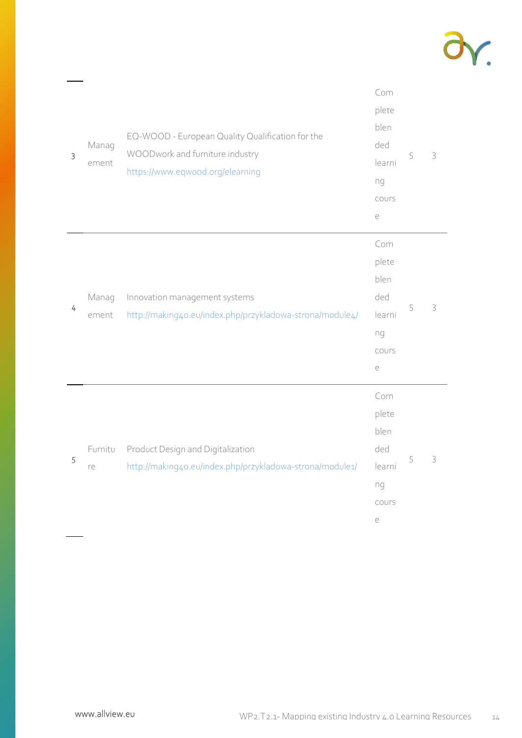

| 3 | Manag<br>ement | EQ-WOOD - European Quality Qualification for the<br>WOODwork and furniture industry<br>https://www.eqwood.org/elearning | Com<br>plete<br>blen<br>ded<br>learni<br>ng<br>cours<br>$\in$ | 5 | 3 |
|---|----------------|-------------------------------------------------------------------------------------------------------------------------|---------------------------------------------------------------|---|---|
| 4 | Manag<br>ement | Innovation management systems<br>http://making4o.eu/index.php/przykladowa-strona/module4/                               | Com<br>plete<br>blen<br>ded<br>learni<br>ng<br>COUrs<br>$\in$ | 5 | 3 |
| 5 | Furnitu<br>re  | Product Design and Digitalization<br>http://making4o.eu/index.php/przykladowa-strona/module1/                           | Com<br>plete<br>blen<br>ded<br>learni<br>ng<br>COUrs<br>$\in$ | 5 | 3 |

 $\frac{1}{2}$  .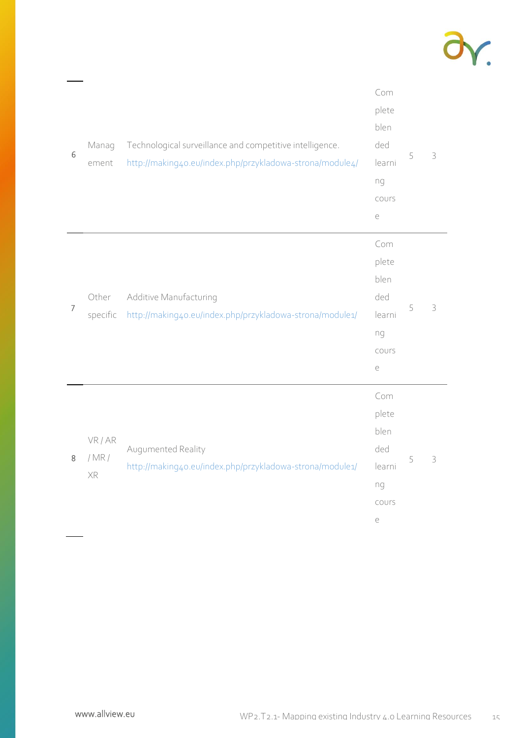

| 6              | Manag<br>ement      | Technological surveillance and competitive intelligence.<br>http://making4o.eu/index.php/przykladowa-strona/module4/ | Com<br>plete<br>blen<br>ded<br>learni<br>ng<br>COUrs<br>$\in$ | 5 | 3 |
|----------------|---------------------|----------------------------------------------------------------------------------------------------------------------|---------------------------------------------------------------|---|---|
| $\overline{7}$ | Other<br>specific   | Additive Manufacturing<br>http://making4o.eu/index.php/przykladowa-strona/module1/                                   | Com<br>plete<br>blen<br>ded<br>learni<br>ng<br>COUrs<br>$\in$ | 5 | 3 |
| 8              | VR/AR<br>/MR/<br>XR | Augumented Reality<br>http://making4o.eu/index.php/przykladowa-strona/module1/                                       | Com<br>plete<br>blen<br>ded<br>learni<br>ng<br>COUrs<br>$\in$ | 5 | 3 |

 $\frac{1}{2}$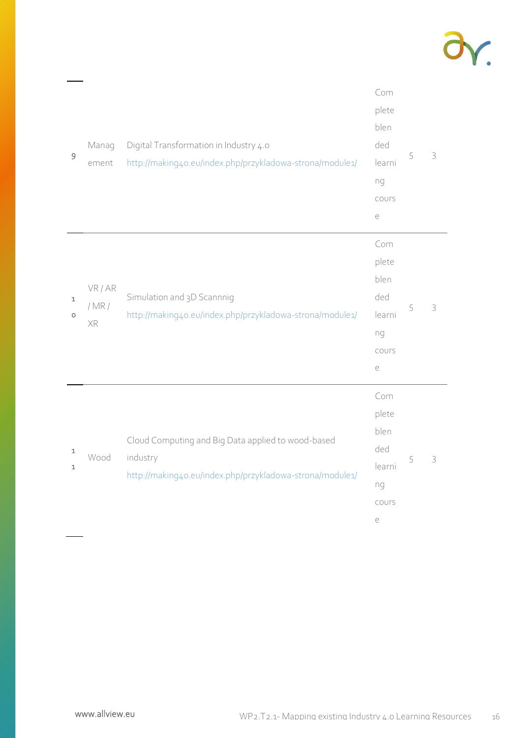

| $\mathsf 9$ | Manag<br>ement      | Digital Transformation in Industry 4.0<br>http://making4o.eu/index.php/przykladowa-strona/module1/                         | Com<br>plete<br>blen<br>ded<br>learni<br>ng<br>COUrs<br>$\in$ | 5 | 3 |
|-------------|---------------------|----------------------------------------------------------------------------------------------------------------------------|---------------------------------------------------------------|---|---|
| 1<br>O      | VR/AR<br>/MR/<br>XR | Simulation and 3D Scannnig<br>http://making4o.eu/index.php/przykladowa-strona/module1/                                     | Com<br>plete<br>blen<br>ded<br>learni<br>ng<br>COUrS<br>$\in$ | 5 | 3 |
| 1<br>1      | Wood                | Cloud Computing and Big Data applied to wood-based<br>industry<br>http://making4o.eu/index.php/przykladowa-strona/module1/ | Com<br>plete<br>blen<br>ded<br>learni<br>ng<br>COUrS<br>$\in$ | 5 | 3 |

 $\frac{1}{2}$  .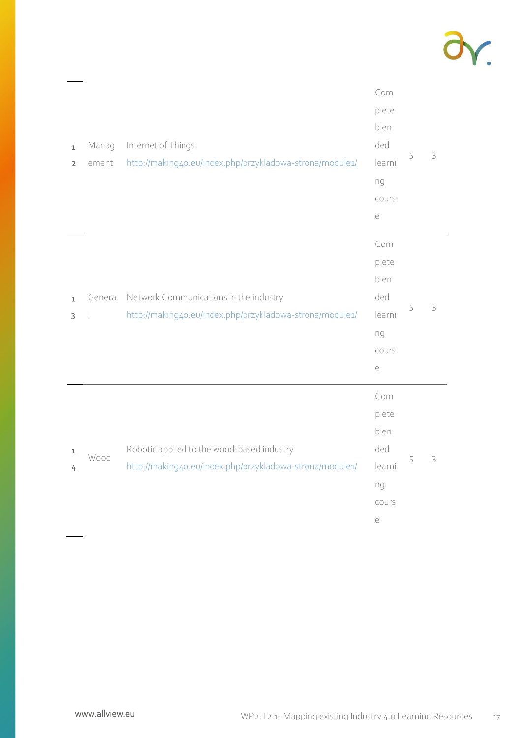

| $\mathbf 1$<br>$\mathbf 2$ | Manag<br>ement | Internet of Things<br>http://making4o.eu/index.php/przykladowa-strona/module1/                         | Com<br>plete<br>blen<br>ded<br>learni<br>ng<br>cours<br>$\in$ | 5 | 3             |
|----------------------------|----------------|--------------------------------------------------------------------------------------------------------|---------------------------------------------------------------|---|---------------|
| $\mathbf{1}$<br>3          | Genera         | Network Communications in the industry<br>http://making4o.eu/index.php/przykladowa-strona/module1/     | Com<br>plete<br>blen<br>ded<br>learni<br>ng<br>cours<br>$\in$ | 5 | 3             |
| $\mathbf 1$<br>4           | Wood           | Robotic applied to the wood-based industry<br>http://making4o.eu/index.php/przykladowa-strona/module1/ | Com<br>plete<br>blen<br>ded<br>learni<br>ng<br>COUrs<br>$\in$ | 5 | $\mathfrak Z$ |

 $\frac{1}{2}$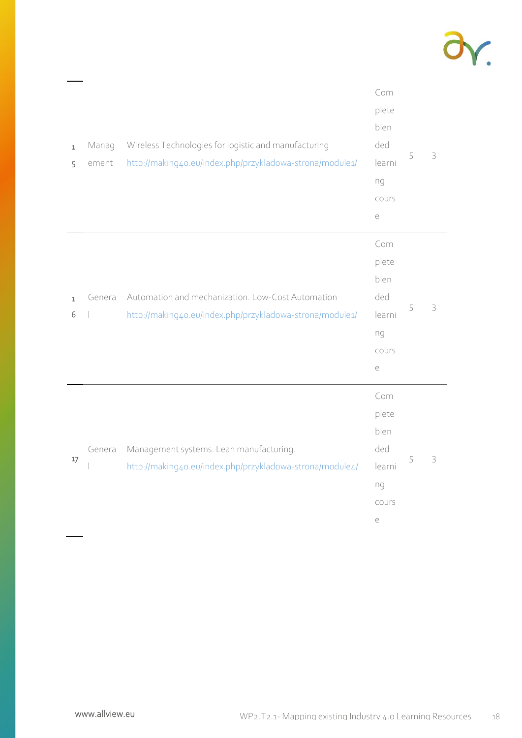

| $\mathbf 1$<br>5  | Manag<br>ement | Wireless Technologies for logistic and manufacturing<br>http://making4o.eu/index.php/przykladowa-strona/module1/ | Com<br>plete<br>blen<br>ded<br>learni<br>ng<br>COUrs<br>$\in$ | 5 | 3 |
|-------------------|----------------|------------------------------------------------------------------------------------------------------------------|---------------------------------------------------------------|---|---|
| $\mathbf{1}$<br>6 | Genera         | Automation and mechanization. Low-Cost Automation<br>http://making4o.eu/index.php/przykladowa-strona/module1/    | Com<br>plete<br>blen<br>ded<br>learni<br>ng<br>COUrs<br>$\in$ | 5 | 3 |
| 17                | Genera         | Management systems. Lean manufacturing.<br>http://making4o.eu/index.php/przykladowa-strona/module4/              | Com<br>plete<br>blen<br>ded<br>learni<br>ng<br>COUrs<br>$\in$ | 5 | 3 |

 $\frac{1}{2}$  .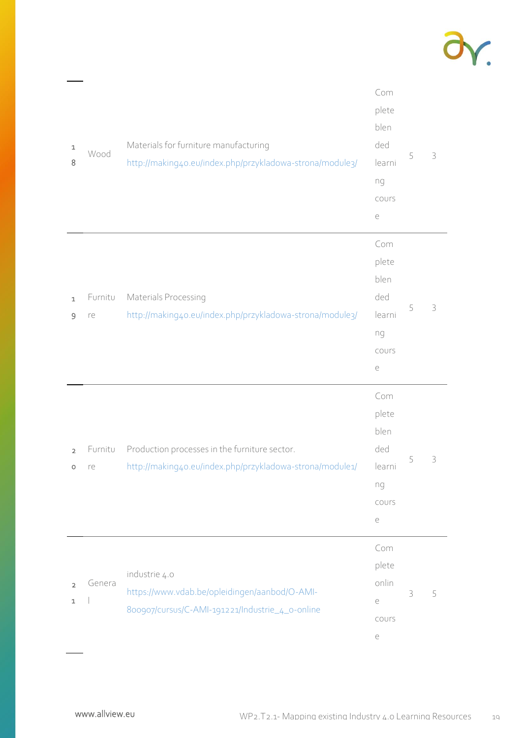

| $\mathtt 1$<br>8              | Wood          | Materials for furniture manufacturing<br>http://making4o.eu/index.php/przykladowa-strona/module3/                 | Com<br>plete<br>blen<br>ded<br>learni<br>ng<br>COUrs<br>$\in$ | 5 | 3 |
|-------------------------------|---------------|-------------------------------------------------------------------------------------------------------------------|---------------------------------------------------------------|---|---|
| $\mathbf{1}$<br>$\mathsf 9$   | Furnitu<br>re | Materials Processing<br>http://making4o.eu/index.php/przykladowa-strona/module3/                                  | Com<br>plete<br>blen<br>ded<br>learni<br>ng<br>COUrs<br>$\in$ | 5 | 3 |
| $\overline{2}$<br>O           | Furnitu<br>re | Production processes in the furniture sector.<br>http://making4o.eu/index.php/przykladowa-strona/module1/         | Com<br>plete<br>blen<br>ded<br>learni<br>ng<br>COUrs<br>$\in$ | 5 | 3 |
| $\overline{2}$<br>$\mathbf 1$ | Genera        | industrie 4.0<br>https://www.vdab.be/opleidingen/aanbod/O-AMI-<br>800907/cursus/C-AMI-191221/Industrie_4_o-online | Com<br>plete<br>onlin<br>$\in$<br>COUrs<br>$\in$              | 3 | 5 |

 $\frac{1}{2}$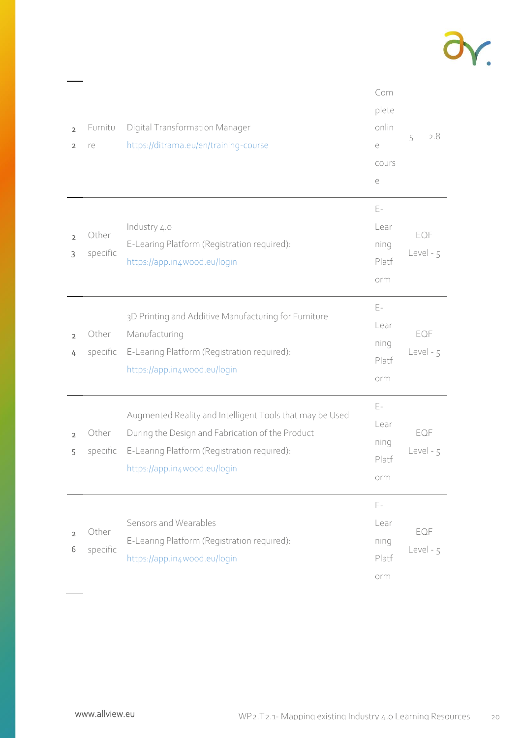

| $\overline{2}$<br>$\overline{2}$ | Furnitu<br>re     | Digital Transformation Manager<br>https://ditrama.eu/en/training-course                                                                                                                     | Com<br>plete<br>onlin<br>e<br>COUrS<br>$\in$ | 2.8<br>5           |
|----------------------------------|-------------------|---------------------------------------------------------------------------------------------------------------------------------------------------------------------------------------------|----------------------------------------------|--------------------|
| $\overline{2}$<br>3              | Other<br>specific | Industry 4.0<br>E-Learing Platform (Registration required):<br>https://app.in4wood.eu/login                                                                                                 | E-<br>Lear<br>ning<br>Platf<br>orm           | EQF<br>Level - 5   |
| $\overline{2}$<br>4              | Other<br>specific | 3D Printing and Additive Manufacturing for Furniture<br>Manufacturing<br>E-Learing Platform (Registration required):<br>https://app.in4wood.eu/login                                        | Ε-<br>Lear<br>ning<br>Platf<br>orm           | EQF<br>$Level - 5$ |
| $\overline{2}$<br>5              | Other<br>specific | Augmented Reality and Intelligent Tools that may be Used<br>During the Design and Fabrication of the Product<br>E-Learing Platform (Registration required):<br>https://app.in4wood.eu/login | Ε-<br>Lear<br>ning<br>Platf<br>orm           | EQF<br>Level - 5   |
| $\overline{2}$<br>6              | Other<br>specific | Sensors and Wearables<br>E-Learing Platform (Registration required):<br>https://app.in4wood.eu/loqin                                                                                        | Ε-<br>Lear<br>ning<br>Platf<br>orm           | EQF<br>Level - 5   |

 $\overline{\phantom{0}}$  $\sim$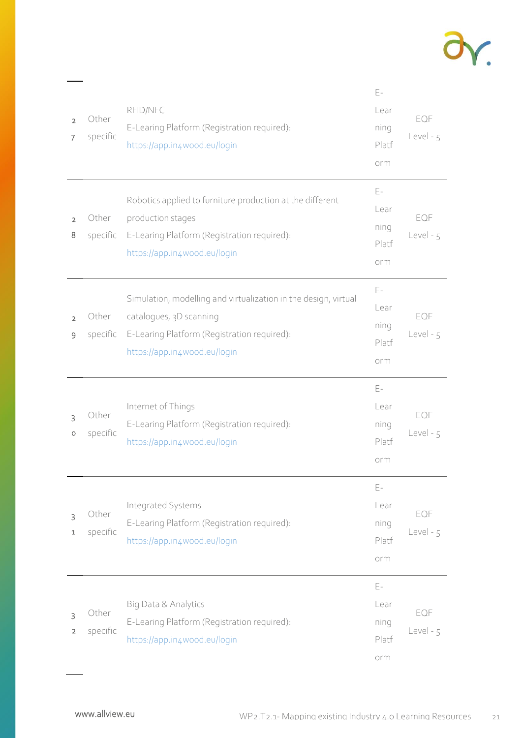

| $\overline{2}$<br>7 | Other<br>specific | RFID/NFC<br>E-Learing Platform (Registration required):<br>https://app.in4wood.eu/login                                                                                   | $E-$<br>Lear<br>ning<br>Platf<br>orm                 | EQF<br>Level - 5 |
|---------------------|-------------------|---------------------------------------------------------------------------------------------------------------------------------------------------------------------------|------------------------------------------------------|------------------|
| $\overline{2}$<br>8 | Other<br>specific | Robotics applied to furniture production at the different<br>production stages<br>E-Learing Platform (Registration required):<br>https://app.in4wood.eu/login             | E-<br>Lear<br>ning<br>Platf<br>orm                   | EQF<br>Level - 5 |
| $\overline{2}$<br>9 | Other<br>specific | Simulation, modelling and virtualization in the design, virtual<br>catalogues, 3D scanning<br>E-Learing Platform (Registration required):<br>https://app.in4wood.eu/login | $\mathsf{E}\text{-}$<br>Lear<br>ning<br>Platf<br>orm | EQF<br>Level - 5 |
| 3<br>O              | Other<br>specific | Internet of Things<br>E-Learing Platform (Registration required):<br>https://app.in4wood.eu/login                                                                         | $E -$<br>Lear<br>ning<br>Platf<br>orm                | EQF<br>Level - 5 |
| 3<br>1              | Other<br>specific | Integrated Systems<br>E-Learing Platform (Registration required):<br>https://app.in4wood.eu/login                                                                         | $\mathsf{E}\text{-}$<br>Lear<br>ning<br>Platf<br>orm | EQF<br>Level - 5 |
| 3<br>$\overline{2}$ | Other<br>specific | Big Data & Analytics<br>E-Learing Platform (Registration required):<br>https://app.in4wood.eu/login                                                                       | Ε-<br>Lear<br>ning<br>Platf<br>orm                   | EQF<br>Level - 5 |

 $\frac{1}{2}$  .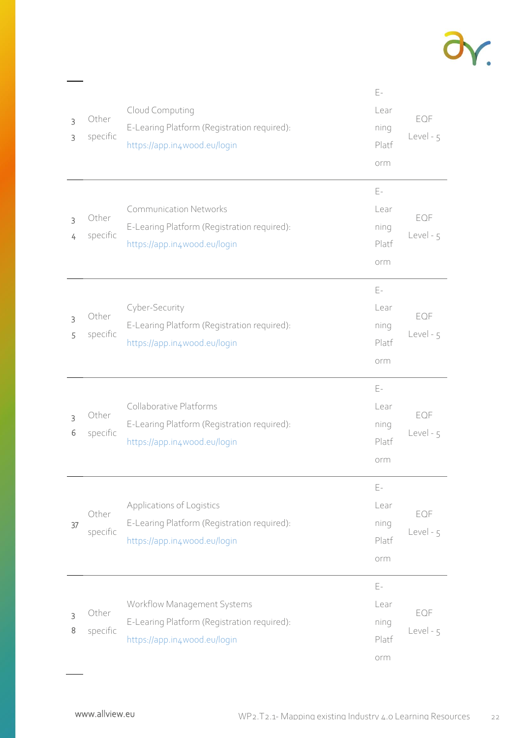

| 3<br>3 | Other<br>specific | Cloud Computing<br>E-Learing Platform (Registration required):<br>https://app.in4wood.eu/login               | $E-$<br>Lear<br>ning<br>Platf<br>orm                 | EQF<br>Level - 5 |
|--------|-------------------|--------------------------------------------------------------------------------------------------------------|------------------------------------------------------|------------------|
| 3<br>4 | Other<br>specific | <b>Communication Networks</b><br>E-Learing Platform (Registration required):<br>https://app.in4wood.eu/login | E-<br>Lear<br>ning<br>Platf<br>orm                   | EQF<br>Level - 5 |
| 3<br>5 | Other<br>specific | Cyber-Security<br>E-Learing Platform (Registration required):<br>https://app.in4wood.eu/login                | $E-$<br>Lear<br>ning<br>Platf<br>orm                 | EQF<br>Level - 5 |
| 3      | Other             | Collaborative Platforms<br>E-Learing Platform (Registration required):                                       | $E-$<br>Lear<br>ning                                 | EQF              |
| 6      | specific          | https://app.in4wood.eu/login                                                                                 | Platf<br>orm                                         | Level - 5        |
| 37     | Other<br>specific | Applications of Logistics<br>E-Learing Platform (Registration required):<br>https://app.in4wood.eu/login     | $\mathsf{E}\text{-}$<br>Lear<br>ning<br>Platf<br>orm | EQF<br>Level - 5 |

 $\frac{1}{2}$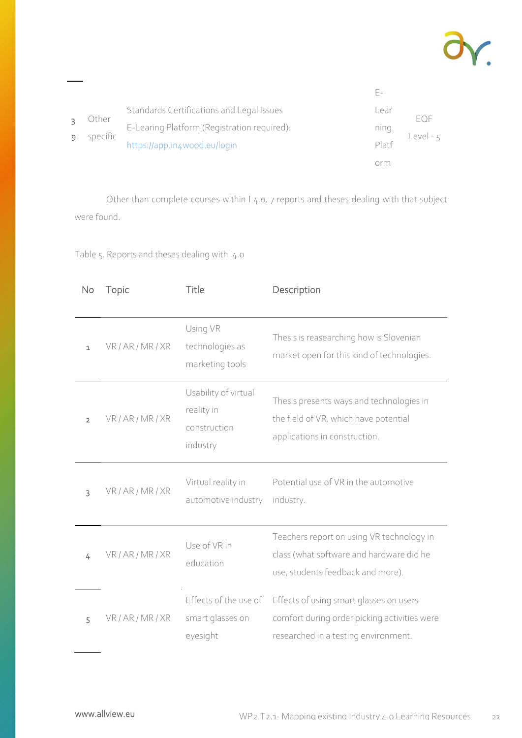

|  |                   | Standards Certifications and Legal Issues   | ∟ear                             | FOF       |
|--|-------------------|---------------------------------------------|----------------------------------|-----------|
|  | Other<br>specific | E-Learing Platform (Registration required): | nıng                             |           |
|  |                   | https://app.in4wood.eu/login                | $Pla$ <sup>+<math>f</math></sup> | Level - 5 |
|  |                   |                                             |                                  |           |

Other than complete courses within I 4.0, 7 reports and theses dealing with that subject were found.

Table 5. Reports and theses dealing with I4.0

| No             | Topic             | Title                                                          | Description                                                                                                                     |
|----------------|-------------------|----------------------------------------------------------------|---------------------------------------------------------------------------------------------------------------------------------|
| $\mathbf{1}$   | VR / AR / MR / XR | Using VR<br>technologies as<br>marketing tools                 | Thesis is reasearching how is Slovenian<br>market open for this kind of technologies.                                           |
| $\overline{2}$ | VR / AR / MR / XR | Usability of virtual<br>reality in<br>construction<br>industry | Thesis presents ways and technologies in<br>the field of VR, which have potential<br>applications in construction.              |
| 3              | VR / AR / MR / XR | Virtual reality in<br>automotive industry                      | Potential use of VR in the automotive<br>industry.                                                                              |
| 4              | VR / AR / MR / XR | Use of VR in<br>education                                      | Teachers report on using VR technology in<br>class (what software and hardware did he<br>use, students feedback and more).      |
| 5              | VR / AR / MR / XR | Effects of the use of<br>smart glasses on<br>eyesight          | Effects of using smart glasses on users<br>comfort during order picking activities were<br>researched in a testing environment. |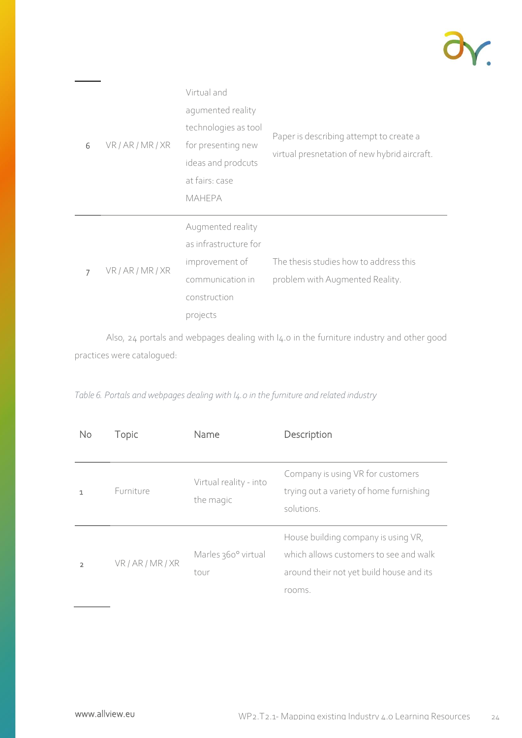

| 6 | VR/AR/MR/XR       | Virtual and<br>agumented reality<br>technologies as tool<br>for presenting new<br>ideas and prodcuts<br>at fairs: case<br><b>MAHEPA</b> | Paper is describing attempt to create a<br>virtual presnetation of new hybrid aircraft. |
|---|-------------------|-----------------------------------------------------------------------------------------------------------------------------------------|-----------------------------------------------------------------------------------------|
| 7 | VR / AR / MR / XR | Augmented reality<br>as infrastructure for<br>improvement of<br>communication in<br>construction<br>projects                            | The thesis studies how to address this<br>problem with Augmented Reality.               |

Also, 24 portals and webpages dealing with I4.0 in the furniture industry and other good practices were catalogued:

| No             | Topic       | Name                                | Description                                                                                                                         |
|----------------|-------------|-------------------------------------|-------------------------------------------------------------------------------------------------------------------------------------|
| 1              | Furniture   | Virtual reality - into<br>the magic | Company is using VR for customers<br>trying out a variety of home furnishing<br>solutions.                                          |
| $\mathfrak{p}$ | VR/AR/MR/XR | Marles 360° virtual<br>tour         | House building company is using VR,<br>which allows customers to see and walk<br>around their not yet build house and its<br>rooms. |

*Table 6. Portals and webpages dealing with I4.0 in the furniture and related industry*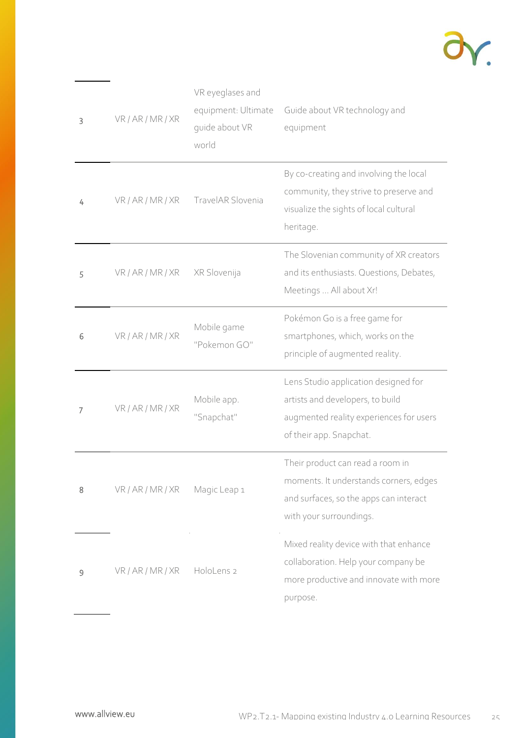

| 3 | VR / AR / MR / XR | VR eyeglases and<br>equipment: Ultimate<br>quide about VR<br>world | Guide about VR technology and<br>equipment                                                                                                      |
|---|-------------------|--------------------------------------------------------------------|-------------------------------------------------------------------------------------------------------------------------------------------------|
| 4 | VR/AR/MR/XR       | TravelAR Slovenia                                                  | By co-creating and involving the local<br>community, they strive to preserve and<br>visualize the sights of local cultural<br>heritage.         |
| 5 | VR/AR/MR/XR       | XR Slovenija                                                       | The Slovenian community of XR creators<br>and its enthusiasts. Questions, Debates,<br>Meetings  All about Xr!                                   |
| 6 | VR / AR / MR / XR | Mobile game<br>"Pokemon GO"                                        | Pokémon Go is a free game for<br>smartphones, which, works on the<br>principle of augmented reality.                                            |
| 7 | VR / AR / MR / XR | Mobile app.<br>"Snapchat"                                          | Lens Studio application designed for<br>artists and developers, to build<br>augmented reality experiences for users<br>of their app. Snapchat.  |
| 8 | VR / AR / MR / XR | Magic Leap 1                                                       | Their product can read a room in<br>moments. It understands corners, edges<br>and surfaces, so the apps can interact<br>with your surroundings. |
| 9 | VR/AR/MR/XR       | HoloLens 2                                                         | Mixed reality device with that enhance<br>collaboration. Help your company be<br>more productive and innovate with more<br>purpose.             |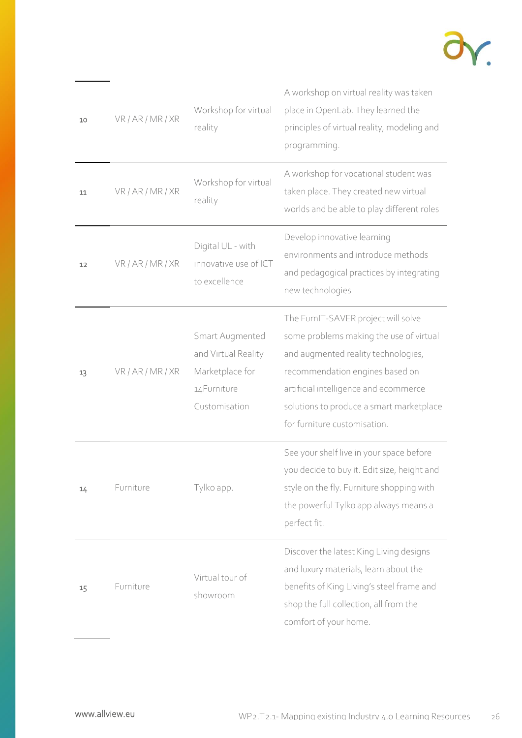

| 10 | VR / AR / MR / XR | Workshop for virtual<br>reality                                                            | A workshop on virtual reality was taken<br>place in OpenLab. They learned the<br>principles of virtual reality, modeling and<br>programming.                                                                                                                                  |
|----|-------------------|--------------------------------------------------------------------------------------------|-------------------------------------------------------------------------------------------------------------------------------------------------------------------------------------------------------------------------------------------------------------------------------|
| 11 | VR / AR / MR / XR | Workshop for virtual<br>reality                                                            | A workshop for vocational student was<br>taken place. They created new virtual<br>worlds and be able to play different roles                                                                                                                                                  |
| 12 | VR / AR / MR / XR | Digital UL - with<br>innovative use of ICT<br>to excellence                                | Develop innovative learning<br>environments and introduce methods<br>and pedagogical practices by integrating<br>new technologies                                                                                                                                             |
| 13 | VR / AR / MR / XR | Smart Augmented<br>and Virtual Reality<br>Marketplace for<br>14 Furniture<br>Customisation | The FurnIT-SAVER project will solve<br>some problems making the use of virtual<br>and augmented reality technologies,<br>recommendation engines based on<br>artificial intelligence and ecommerce<br>solutions to produce a smart marketplace<br>for furniture customisation. |
| 14 | Furniture         | Tylko app.                                                                                 | See your shelf live in your space before<br>you decide to buy it. Edit size, height and<br>style on the fly. Furniture shopping with<br>the powerful Tylko app always means a<br>perfect fit.                                                                                 |
| 15 | Furniture         | Virtual tour of<br>showroom                                                                | Discover the latest King Living designs<br>and luxury materials, learn about the<br>benefits of King Living's steel frame and<br>shop the full collection, all from the<br>comfort of your home.                                                                              |

<u>and the state of the state</u>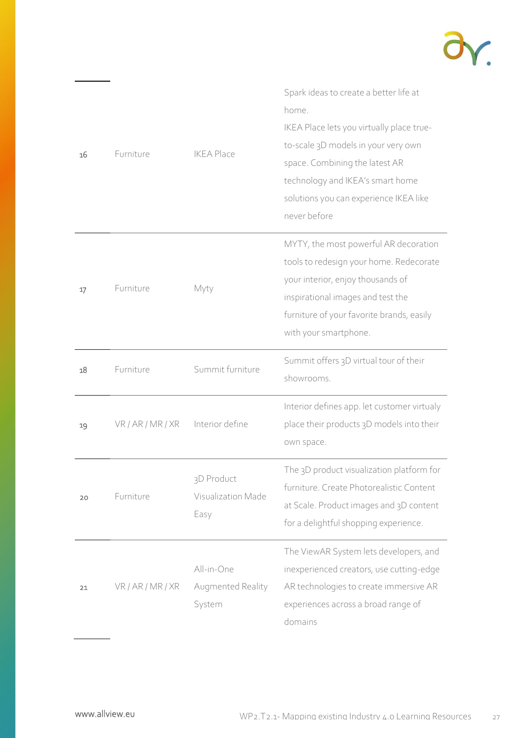

| 16 | Furniture         | <b>IKEA Place</b>                         | Spark ideas to create a better life at<br>home.<br>IKEA Place lets you virtually place true-<br>to-scale 3D models in your very own<br>space. Combining the latest AR<br>technology and IKEA's smart home<br>solutions you can experience IKEA like<br>never before |
|----|-------------------|-------------------------------------------|---------------------------------------------------------------------------------------------------------------------------------------------------------------------------------------------------------------------------------------------------------------------|
| 17 | Furniture         | Myty                                      | MYTY, the most powerful AR decoration<br>tools to redesign your home. Redecorate<br>your interior, enjoy thousands of<br>inspirational images and test the<br>furniture of your favorite brands, easily<br>with your smartphone.                                    |
| 18 | Furniture         | Summit furniture                          | Summit offers 3D virtual tour of their<br>showrooms.                                                                                                                                                                                                                |
| 19 | VR/AR/MR/XR       | Interior define                           | Interior defines app. let customer virtualy<br>place their products 3D models into their<br>own space.                                                                                                                                                              |
| 20 | Furniture         | 3D Product<br>Visualization Made<br>Easy  | The 3D product visualization platform for<br>furniture. Create Photorealistic Content<br>at Scale. Product images and 3D content<br>for a delightful shopping experience.                                                                                           |
| 21 | VR / AR / MR / XR | All-in-One<br>Augmented Reality<br>System | The ViewAR System lets developers, and<br>inexperienced creators, use cutting-edge<br>AR technologies to create immersive AR<br>experiences across a broad range of<br>domains                                                                                      |

 $\overline{\phantom{a}}$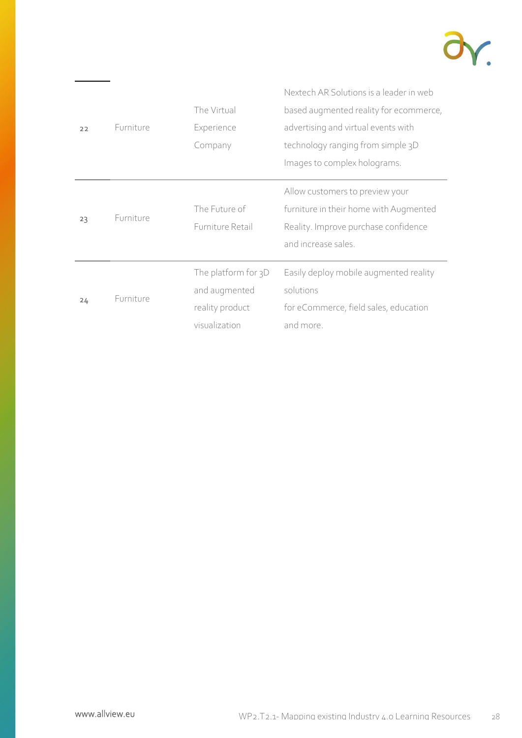

|    |           |                     | Nextech AR Solutions is a leader in web |
|----|-----------|---------------------|-----------------------------------------|
|    |           | The Virtual         | based augmented reality for ecommerce,  |
| 22 | Furniture | Experience          | advertising and virtual events with     |
|    |           | Company             | technology ranging from simple 3D       |
|    |           |                     | Images to complex holograms.            |
| 23 | Furniture |                     | Allow customers to preview your         |
|    |           | The Future of       | furniture in their home with Augmented  |
|    |           | Furniture Retail    | Reality. Improve purchase confidence    |
|    |           |                     | and increase sales.                     |
|    |           | The platform for 3D | Easily deploy mobile augmented reality  |
| 24 | Furniture | and augmented       | solutions                               |
|    |           | reality product     | for eCommerce, field sales, education   |
|    |           | visualization       | and more.                               |

 $\overline{\phantom{a}}$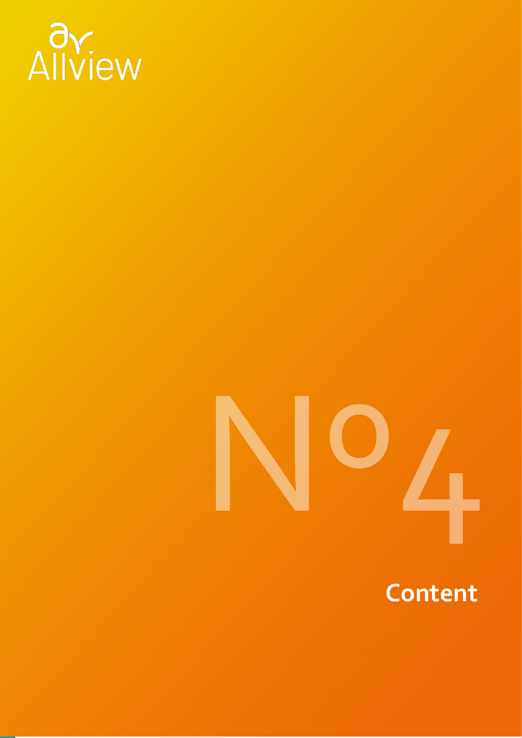

### **Content**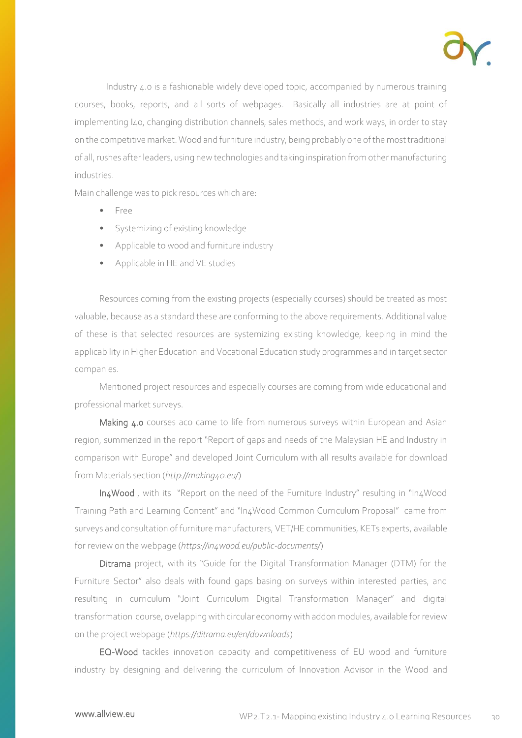

Industry 4.0 is a fashionable widely developed topic, accompanied by numerous training courses, books, reports, and all sorts of webpages. Basically all industries are at point of implementing I40, changing distribution channels, sales methods, and work ways, in order to stay on the competitive market. Wood and furniture industry, being probably one of the most traditional of all, rushes after leaders, using new technologies and taking inspiration from other manufacturing industries.

Main challenge was to pick resources which are:

- Free
- Systemizing of existing knowledge
- Applicable to wood and furniture industry
- Applicable in HE and VE studies

Resources coming from the existing projects (especially courses) should be treated as most valuable, because as a standard these are conforming to the above requirements. Additional value of these is that selected resources are systemizing existing knowledge, keeping in mind the applicability in Higher Education and Vocational Education study programmes and in target sector companies.

Mentioned project resources and especially courses are coming from wide educational and professional market surveys.

Making 4.0 courses aco came to life from numerous surveys within European and Asian region, summerized in the report "Report of gaps and needs of the Malaysian HE and Industry in comparison with Europe" and developed Joint Curriculum with all results available for download from Materials section (*<http://making40.eu/>*)

In4Wood , with its "Report on the need of the Furniture Industry" resulting in "In4Wood Training Path and Learning Content" and "In4Wood Common Curriculum Proposal" came from surveys and consultation of furniture manufacturers, VET/HE communities, KETs experts, available for review on the webpage (*<https://in4wood.eu/public-documents/>*)

Ditrama project, with its "Guide for the Digital Transformation Manager (DTM) for the Furniture Sector" also deals with found gaps basing on surveys within interested parties, and resulting in curriculum "Joint Curriculum Digital Transformation Manager" and digital transformation course, ovelapping with circular economy with addon modules, available for review on the project webpage (*<https://ditrama.eu/en/downloads>*)

EQ-Wood tackles innovation capacity and competitiveness of EU wood and furniture industry by designing and delivering the curriculum of Innovation Advisor in the Wood and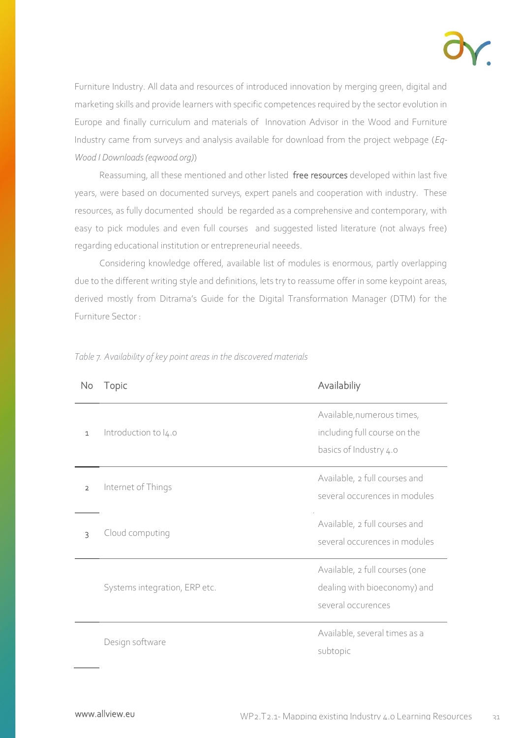

Furniture Industry. All data and resources of introduced innovation by merging green, digital and marketing skills and provide learners with specific competences required by the sector evolution in Europe and finally curriculum and materials of Innovation Advisor in the Wood and Furniture Industry came from surveys and analysis available for download from the project webpage (*[Eq-](https://www.eqwood.org/downloads)[Wood I Downloads \(eqwood.org\)](https://www.eqwood.org/downloads)*)

Reassuming, all these mentioned and other listed free resources developed within last five years, were based on documented surveys, expert panels and cooperation with industry. These resources, as fully documented should be regarded as a comprehensive and contemporary, with easy to pick modules and even full courses and suggested listed literature (not always free) regarding educational institution or entrepreneurial neeeds.

Considering knowledge offered, available list of modules is enormous, partly overlapping due to the different writing style and definitions, lets try to reassume offer in some keypoint areas, derived mostly from Ditrama's Guide for the Digital Transformation Manager (DTM) for the Furniture Sector :

| No             | Topic                         | Availabiliy                                                                          |
|----------------|-------------------------------|--------------------------------------------------------------------------------------|
| $\mathbf{1}$   | Introduction to $I_4$ .o      | Available, numerous times,<br>including full course on the<br>basics of Industry 4.0 |
| $\overline{2}$ | Internet of Things            | Available, 2 full courses and<br>several occurences in modules                       |
| 3              | Cloud computing               | Available, 2 full courses and<br>several occurences in modules                       |
|                | Systems integration, ERP etc. | Available, 2 full courses (one<br>dealing with bioeconomy) and<br>several occurences |
|                | Design software               | Available, several times as a<br>subtopic                                            |

*Table 7. Availability of key point areas in the discovered materials*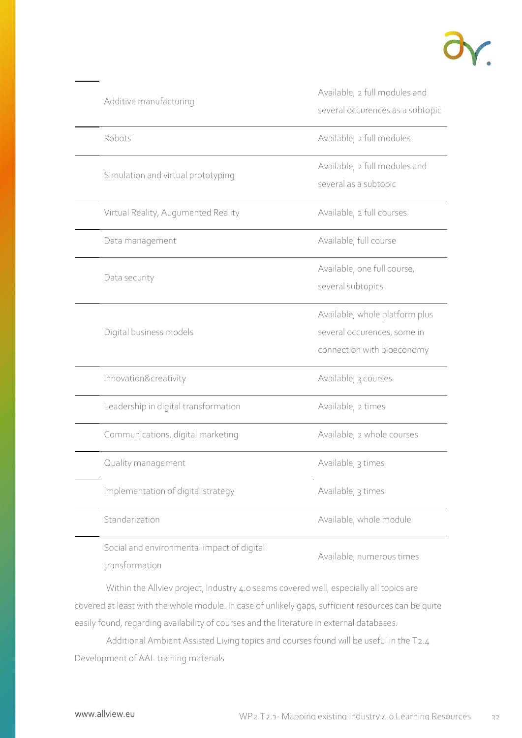

| Additive manufacturing                     | Available, 2 full modules and<br>several occurences as a subtopic                           |
|--------------------------------------------|---------------------------------------------------------------------------------------------|
| Robots                                     | Available, 2 full modules                                                                   |
| Simulation and virtual prototyping         | Available, 2 full modules and<br>several as a subtopic                                      |
| Virtual Reality, Augumented Reality        | Available, 2 full courses                                                                   |
| Data management                            | Available, full course                                                                      |
| Data security                              | Available, one full course,<br>several subtopics                                            |
| Digital business models                    | Available, whole platform plus<br>several occurences, some in<br>connection with bioeconomy |
| Innovation&creativity                      | Available, 3 courses                                                                        |
| Leadership in digital transformation       | Available, 2 times                                                                          |
| Communications, digital marketing          | Available, 2 whole courses                                                                  |
| Quality management                         | Available, 3 times                                                                          |
| Implementation of digital strategy         | Available, 3 times                                                                          |
| Standarization                             | Available, whole module                                                                     |
| Social and environmental impact of digital | Available, numerous times                                                                   |

transformation

Within the Allviev project, Industry 4.0 seems covered well, especially all topics are covered at least with the whole module. In case of unlikely gaps, sufficient resources can be quite easily found, regarding availability of courses and the literature in external databases.

Additional Ambient Assisted Living topics and courses found will be useful in the T2.4 Development of AAL training materials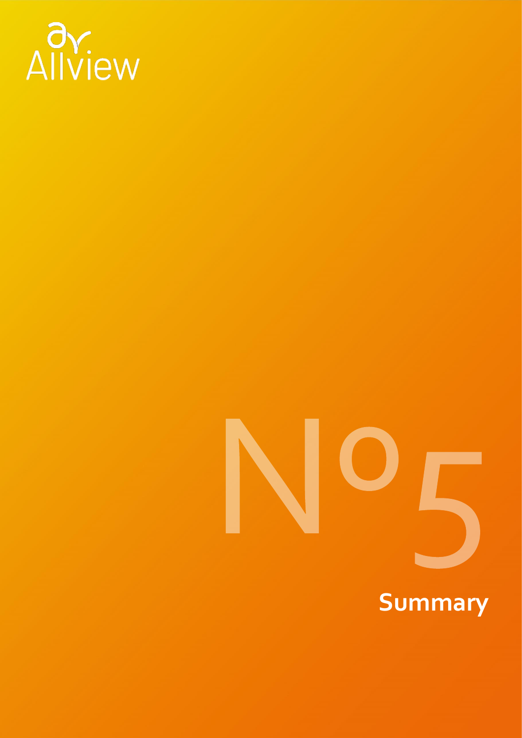

# **Summary**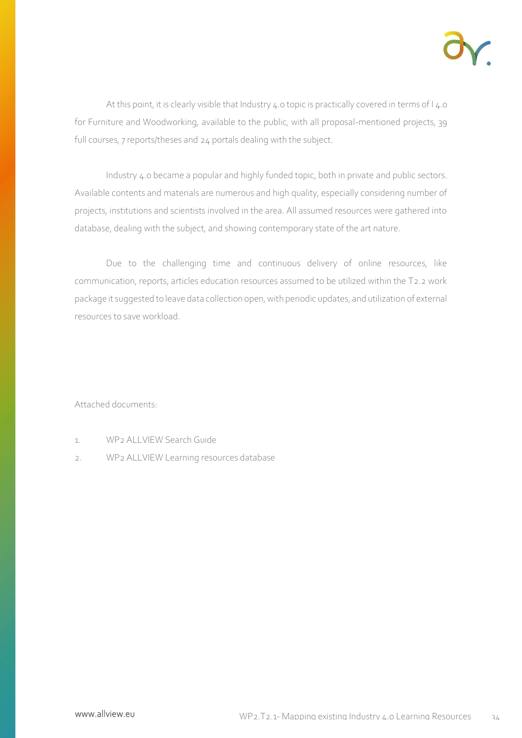

At this point, it is clearly visible that Industry 4.0 topic is practically covered in terms of I 4.0 for Furniture and Woodworking, available to the public, with all proposal-mentioned projects, 39 full courses, 7 reports/theses and 24 portals dealing with the subject.

Industry 4.0 became a popular and highly funded topic, both in private and public sectors. Available contents and materials are numerous and high quality, especially considering number of projects, institutions and scientists involved in the area. All assumed resources were gathered into database, dealing with the subject, and showing contemporary state of the art nature.

Due to the challenging time and continuous delivery of online resources, like communication, reports, articles education resources assumed to be utilized within the T2.2 work package it suggested to leave data collection open, with periodic updates, and utilization of external resources to save workload.

Attached documents:

- 1. WP2 ALLVIEW Search Guide
- 2. WP2 ALLVIEW Learning resources database